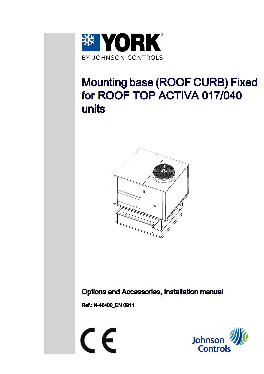

# Mounting base (ROOF CURB) Fixed for ROOF TOP ACTIVA 017/040 units



Options and Accessories, Installation manual

Ref.: N-40400\_EN 0911

 $\epsilon$ 

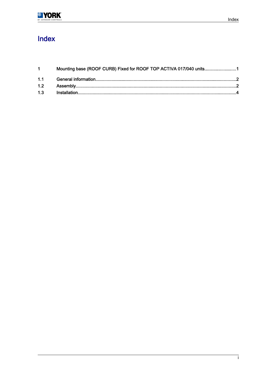## Index

| Mounting base (ROOF CURB) Fixed for ROOF TOP ACTIVA 017/040 units1 |  |
|--------------------------------------------------------------------|--|
|                                                                    |  |
|                                                                    |  |
|                                                                    |  |
|                                                                    |  |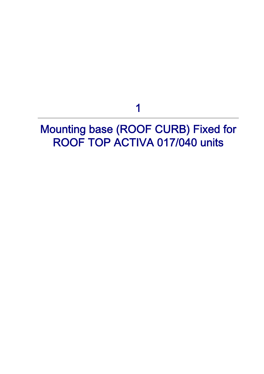1

## <span id="page-2-0"></span>Mounting base (ROOF CURB) Fixed for ROOF TOP ACTIVA 017/040 units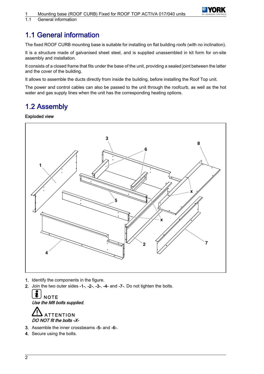

<span id="page-3-0"></span>1.1 General information

## 1.1 General information

The fixed ROOF CURB mounting base is suitable for installing on flat building roofs (with no inclination).

It is a structure made of galvanised sheet steel, and is supplied unassembled in kit form for on-site assembly and installation.

It consists of a closed frame that fits under the base of the unit, providing a sealed joint between the latter and the cover of the building.

It allows to assemble the ducts directly from inside the building, before installing the Roof Top unit.

The power and control cables can also be passed to the unit through the roofcurb, as well as the hot water and gas supply lines when the unit has the corresponding heating options.

### 1.2 Assembly

#### Exploded view



- 1. Identify the components in the figure.
- 2. Join the two outer sides -1-, -2-, -3-, -4- and -7-. Do not tighten the bolts.





- 3. Assemble the inner crossbeams -5- and -6-.
- 4. Secure using the bolts.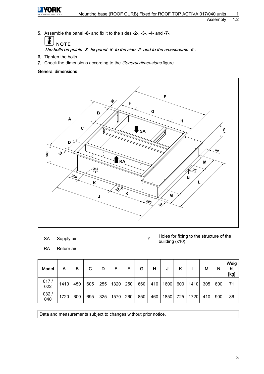

5. Assemble the panel -8- and fix it to the sides -2-, -3-, -4- and -7-.



### The bolts on points -X- fix panel -8- to the side -2- and to the crossbeams -5-.

- 6. Tighten the bolts.
- 7. Check the dimensions according to the *General dimensions* figure.

#### General dimensions



- SA Supply air Y
- RA Return air

Holes for fixing to the structure of the building (x10)

| Model       | Α    | в   | C   | D   | Е    | F   | G   | н   | J    |     |      | M   | N   | Weig $ $<br>ht<br>[kg] |
|-------------|------|-----|-----|-----|------|-----|-----|-----|------|-----|------|-----|-----|------------------------|
| 017/<br>022 | 1410 | 450 | 605 | 255 | 1320 | 250 | 660 | 410 | 1600 | 600 | 1410 | 305 | 800 | 71                     |
| 032/<br>040 | 1720 | 600 | 695 | 325 | 1570 | 260 | 850 | 460 | 1850 | 725 | 1720 | 410 | 900 | 86                     |

Data and measurements subject to changes without prior notice.